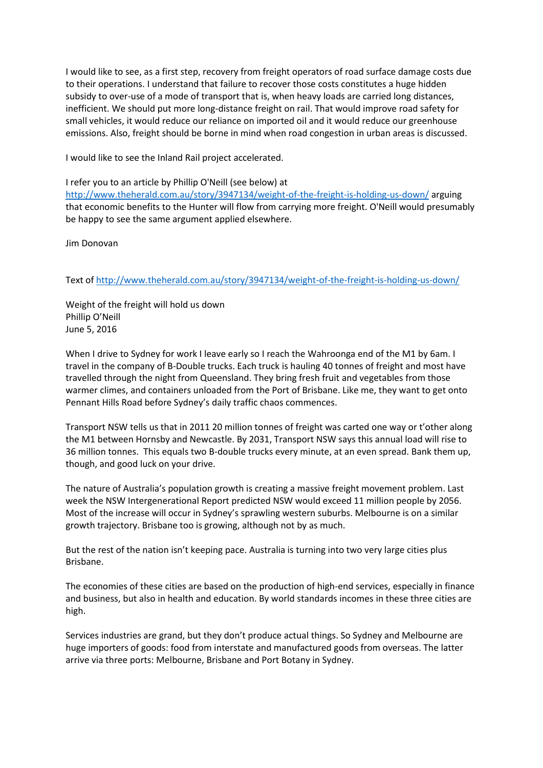I would like to see, as a first step, recovery from freight operators of road surface damage costs due to their operations. I understand that failure to recover those costs constitutes a huge hidden subsidy to over-use of a mode of transport that is, when heavy loads are carried long distances, inefficient. We should put more long-distance freight on rail. That would improve road safety for small vehicles, it would reduce our reliance on imported oil and it would reduce our greenhouse emissions. Also, freight should be borne in mind when road congestion in urban areas is discussed.

I would like to see the Inland Rail project accelerated.

I refer you to an article by Phillip O'Neill (see below) at <http://www.theherald.com.au/story/3947134/weight-of-the-freight-is-holding-us-down/> arguing that economic benefits to the Hunter will flow from carrying more freight. O'Neill would presumably be happy to see the same argument applied elsewhere.

Jim Donovan

Text o[f http://www.theherald.com.au/story/3947134/weight-of-the-freight-is-holding-us-down/](http://www.theherald.com.au/story/3947134/weight-of-the-freight-is-holding-us-down/)

Weight of the freight will hold us down Phillip O'Neill June 5, 2016

When I drive to Sydney for work I leave early so I reach the Wahroonga end of the M1 by 6am. I travel in the company of B-Double trucks. Each truck is hauling 40 tonnes of freight and most have travelled through the night from Queensland. They bring fresh fruit and vegetables from those warmer climes, and containers unloaded from the Port of Brisbane. Like me, they want to get onto Pennant Hills Road before Sydney's daily traffic chaos commences.

Transport NSW tells us that in 2011 20 million tonnes of freight was carted one way or t'other along the M1 between Hornsby and Newcastle. By 2031, Transport NSW says this annual load will rise to 36 million tonnes. This equals two B-double trucks every minute, at an even spread. Bank them up, though, and good luck on your drive.

The nature of Australia's population growth is creating a massive freight movement problem. Last week the NSW Intergenerational Report predicted NSW would exceed 11 million people by 2056. Most of the increase will occur in Sydney's sprawling western suburbs. Melbourne is on a similar growth trajectory. Brisbane too is growing, although not by as much.

But the rest of the nation isn't keeping pace. Australia is turning into two very large cities plus Brisbane.

The economies of these cities are based on the production of high-end services, especially in finance and business, but also in health and education. By world standards incomes in these three cities are high.

Services industries are grand, but they don't produce actual things. So Sydney and Melbourne are huge importers of goods: food from interstate and manufactured goods from overseas. The latter arrive via three ports: Melbourne, Brisbane and Port Botany in Sydney.